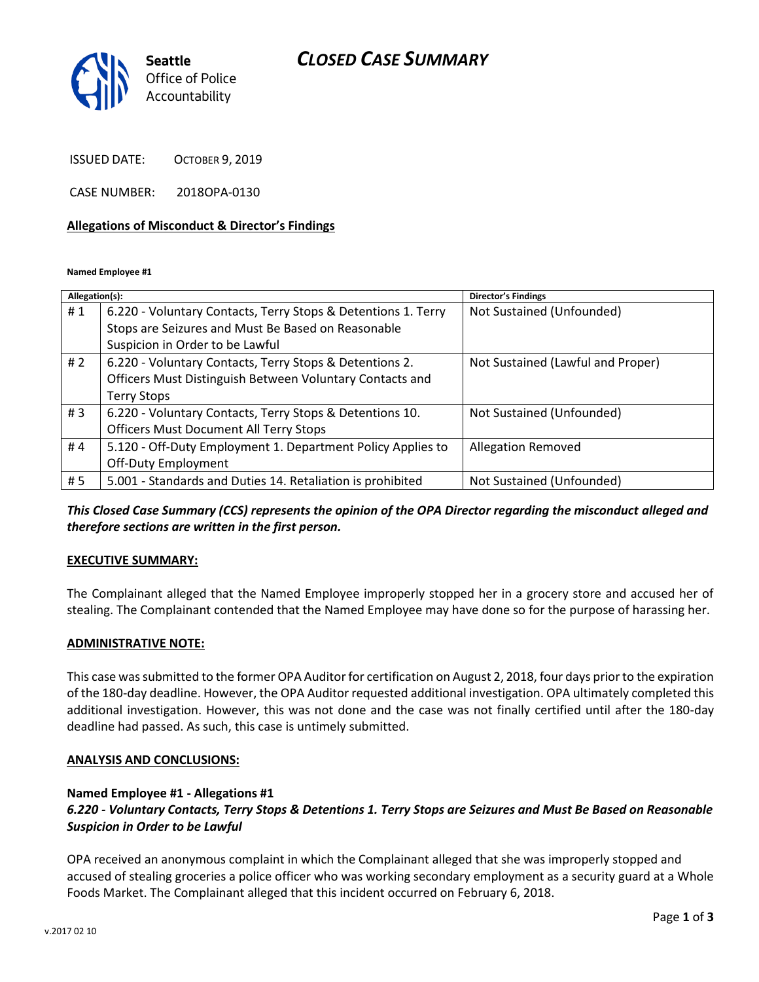## *CLOSED CASE SUMMARY*



ISSUED DATE: OCTOBER 9, 2019

CASE NUMBER: 2018OPA-0130

#### **Allegations of Misconduct & Director's Findings**

**Named Employee #1**

| Allegation(s): |                                                               | Director's Findings               |
|----------------|---------------------------------------------------------------|-----------------------------------|
| #1             | 6.220 - Voluntary Contacts, Terry Stops & Detentions 1. Terry | Not Sustained (Unfounded)         |
|                | Stops are Seizures and Must Be Based on Reasonable            |                                   |
|                | Suspicion in Order to be Lawful                               |                                   |
| #2             | 6.220 - Voluntary Contacts, Terry Stops & Detentions 2.       | Not Sustained (Lawful and Proper) |
|                | Officers Must Distinguish Between Voluntary Contacts and      |                                   |
|                | <b>Terry Stops</b>                                            |                                   |
| #3             | 6.220 - Voluntary Contacts, Terry Stops & Detentions 10.      | Not Sustained (Unfounded)         |
|                | <b>Officers Must Document All Terry Stops</b>                 |                                   |
| #4             | 5.120 - Off-Duty Employment 1. Department Policy Applies to   | <b>Allegation Removed</b>         |
|                | Off-Duty Employment                                           |                                   |
| #5             | 5.001 - Standards and Duties 14. Retaliation is prohibited    | Not Sustained (Unfounded)         |
|                |                                                               |                                   |

*This Closed Case Summary (CCS) represents the opinion of the OPA Director regarding the misconduct alleged and therefore sections are written in the first person.* 

### **EXECUTIVE SUMMARY:**

The Complainant alleged that the Named Employee improperly stopped her in a grocery store and accused her of stealing. The Complainant contended that the Named Employee may have done so for the purpose of harassing her.

### **ADMINISTRATIVE NOTE:**

This case was submitted to the former OPA Auditor for certification on August 2, 2018, four days prior to the expiration of the 180-day deadline. However, the OPA Auditor requested additional investigation. OPA ultimately completed this additional investigation. However, this was not done and the case was not finally certified until after the 180-day deadline had passed. As such, this case is untimely submitted.

#### **ANALYSIS AND CONCLUSIONS:**

### **Named Employee #1 - Allegations #1**

*6.220 - Voluntary Contacts, Terry Stops & Detentions 1. Terry Stops are Seizures and Must Be Based on Reasonable Suspicion in Order to be Lawful*

OPA received an anonymous complaint in which the Complainant alleged that she was improperly stopped and accused of stealing groceries a police officer who was working secondary employment as a security guard at a Whole Foods Market. The Complainant alleged that this incident occurred on February 6, 2018.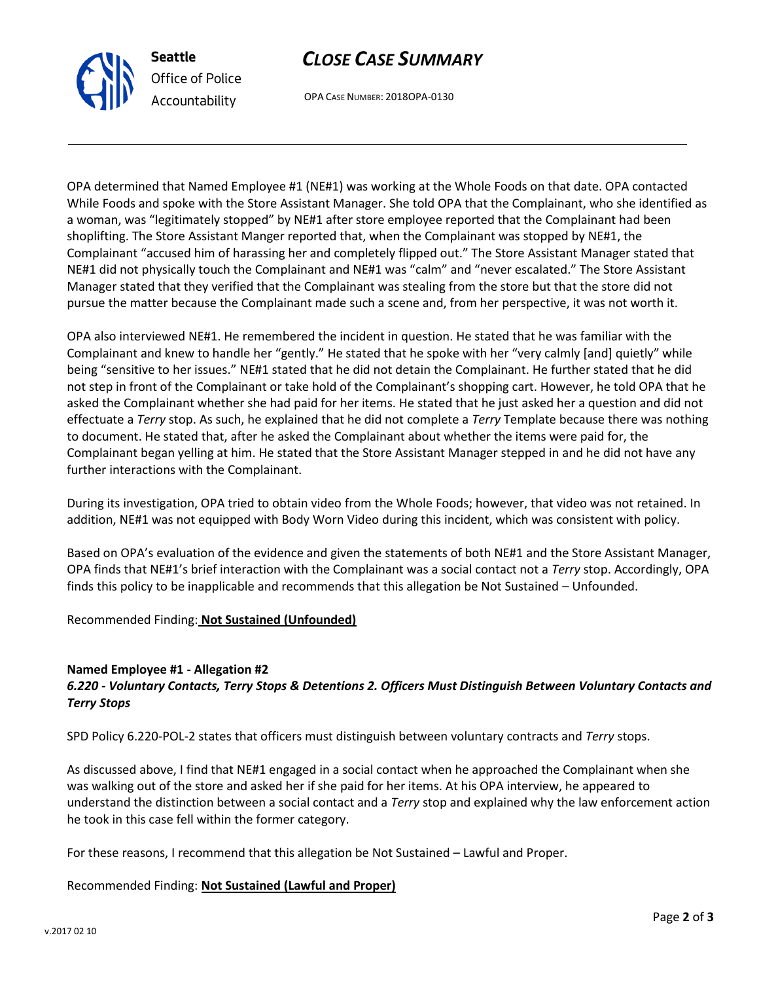

OPA CASE NUMBER: 2018OPA-0130

OPA determined that Named Employee #1 (NE#1) was working at the Whole Foods on that date. OPA contacted While Foods and spoke with the Store Assistant Manager. She told OPA that the Complainant, who she identified as a woman, was "legitimately stopped" by NE#1 after store employee reported that the Complainant had been shoplifting. The Store Assistant Manger reported that, when the Complainant was stopped by NE#1, the Complainant "accused him of harassing her and completely flipped out." The Store Assistant Manager stated that NE#1 did not physically touch the Complainant and NE#1 was "calm" and "never escalated." The Store Assistant Manager stated that they verified that the Complainant was stealing from the store but that the store did not pursue the matter because the Complainant made such a scene and, from her perspective, it was not worth it.

OPA also interviewed NE#1. He remembered the incident in question. He stated that he was familiar with the Complainant and knew to handle her "gently." He stated that he spoke with her "very calmly [and] quietly" while being "sensitive to her issues." NE#1 stated that he did not detain the Complainant. He further stated that he did not step in front of the Complainant or take hold of the Complainant's shopping cart. However, he told OPA that he asked the Complainant whether she had paid for her items. He stated that he just asked her a question and did not effectuate a *Terry* stop. As such, he explained that he did not complete a *Terry* Template because there was nothing to document. He stated that, after he asked the Complainant about whether the items were paid for, the Complainant began yelling at him. He stated that the Store Assistant Manager stepped in and he did not have any further interactions with the Complainant.

During its investigation, OPA tried to obtain video from the Whole Foods; however, that video was not retained. In addition, NE#1 was not equipped with Body Worn Video during this incident, which was consistent with policy.

Based on OPA's evaluation of the evidence and given the statements of both NE#1 and the Store Assistant Manager, OPA finds that NE#1's brief interaction with the Complainant was a social contact not a *Terry* stop. Accordingly, OPA finds this policy to be inapplicable and recommends that this allegation be Not Sustained – Unfounded.

### Recommended Finding: **Not Sustained (Unfounded)**

### **Named Employee #1 - Allegation #2**

**Seattle**

*Office of Police Accountability*

## *6.220 - Voluntary Contacts, Terry Stops & Detentions 2. Officers Must Distinguish Between Voluntary Contacts and Terry Stops*

SPD Policy 6.220-POL-2 states that officers must distinguish between voluntary contracts and *Terry* stops.

As discussed above, I find that NE#1 engaged in a social contact when he approached the Complainant when she was walking out of the store and asked her if she paid for her items. At his OPA interview, he appeared to understand the distinction between a social contact and a *Terry* stop and explained why the law enforcement action he took in this case fell within the former category.

For these reasons, I recommend that this allegation be Not Sustained – Lawful and Proper.

### Recommended Finding: **Not Sustained (Lawful and Proper)**